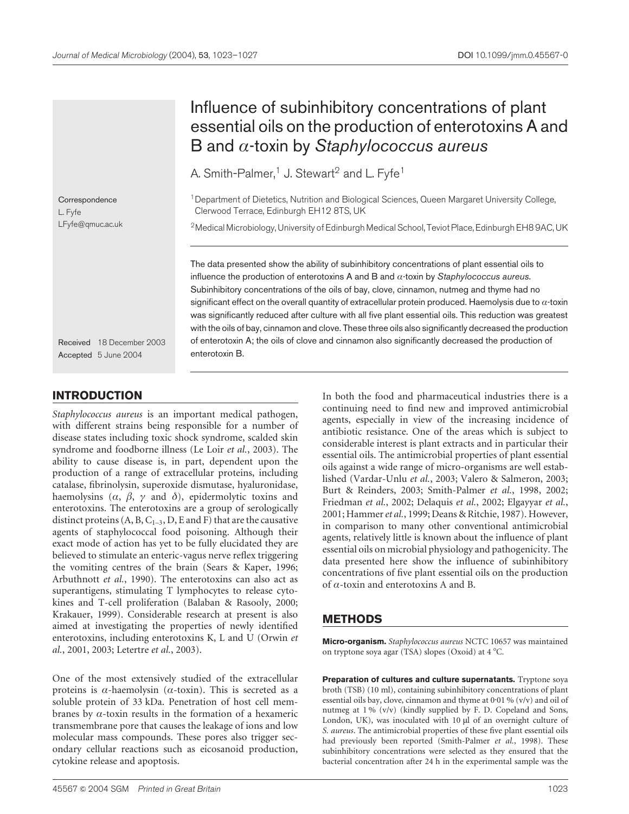# Influence of subinhibitory concentrations of plant essential oils on the production of enterotoxins A and B and  $\alpha$ -toxin by Staphylococcus aureus

A. Smith-Palmer,<sup>1</sup> J. Stewart<sup>2</sup> and L. Fyfe<sup>1</sup>

<sup>1</sup> Department of Dietetics, Nutrition and Biological Sciences, Queen Margaret University College, Clerwood Terrace, Edinburgh EH12 8TS, UK

<sup>2</sup> Medical Microbiology, University of Edinburgh Medical School, Teviot Place, Edinburgh EH8 9AC, UK

The data presented show the ability of subinhibitory concentrations of plant essential oils to influence the production of enterotoxins A and B and  $\alpha$ -toxin by Staphylococcus aureus. Subinhibitory concentrations of the oils of bay, clove, cinnamon, nutmeg and thyme had no significant effect on the overall quantity of extracellular protein produced. Haemolysis due to  $\alpha$ -toxin was significantly reduced after culture with all five plant essential oils. This reduction was greatest with the oils of bay, cinnamon and clove. These three oils also significantly decreased the production of enterotoxin A; the oils of clove and cinnamon also significantly decreased the production of enterotoxin B.

Received 18 December 2003 Accepted 5 June 2004

## INTRODUCTION

**Correspondence** 

LFyfe@qmuc.ac.uk

L. Fyfe

Staphylococcus aureus is an important medical pathogen, with different strains being responsible for a number of disease states including toxic shock syndrome, scalded skin syndrome and foodborne illness [\(Le Loir](#page-3-0) et al., 2003). The ability to cause disease is, in part, dependent upon the production of a range of extracellular proteins, including catalase, fibrinolysin, superoxide dismutase, hyaluronidase, haemolysins  $(\alpha, \beta, \gamma$  and  $\delta)$ , epidermolytic toxins and enterotoxins. The enterotoxins are a group of serologically distinct proteins  $(A, B, C_{1-3}, D, E \text{ and } F)$  that are the causative agents of staphylococcal food poisoning. Although their exact mode of action has yet to be fully elucidated they are believed to stimulate an enteric-vagus nerve reflex triggering the vomiting centres of the brain [\(Sears & Kape](#page-3-0)r, 1996; [Arbuthnott](#page-3-0) et al., 1990). The enterotoxins can also act as superantigens, stimulating T lymphocytes to release cytokines and T-cell proliferation [\(Balaban & R](#page-3-0)asooly, 2000; [Krakauer, 199](#page-3-0)9). Considerable research at present is also aimed at investigating the properties of newly identified enterotoxins, including enterotoxins K, L and U [\(Orwin](#page-3-0) et al., 2001, 2003[; Letertre](#page-3-0) et al., 2003).

One of the most extensively studied of the extracellular proteins is  $\alpha$ -haemolysin ( $\alpha$ -toxin). This is secreted as a soluble protein of 33 kDa. Penetration of host cell membranes by  $\alpha$ -toxin results in the formation of a hexameric transmembrane pore that causes the leakage of ions and low molecular mass compounds. These pores also trigger secondary cellular reactions such as eicosanoid production, cytokine release and apoptosis.

In both the food and pharmaceutical industries there is a continuing need to find new and improved antimicrobial agents, especially in view of the increasing incidence of antibiotic resistance. One of the areas which is subject to considerable interest is plant extracts and in particular their essential oils. The antimicrobial properties of plant essential oils against a wide range of micro-organisms are well established [\(Vardar-Unlu](#page-4-0) et al., 2003; [Valero & Salm](#page-4-0)eron, 2003; [Burt & Reind](#page-3-0)ers, 2003; [Smith-Palmer](#page-3-0) et al., 1998, 2002; [Friedman](#page-3-0) et al., 2002; [Delaquis](#page-3-0) et al., 2002; [Elgayyar](#page-3-0) et al., 2001[; Hammer](#page-3-0) et al., 1999[; Deans & Ritch](#page-3-0)ie, 1987). However, in comparison to many other conventional antimicrobial agents, relatively little is known about the influence of plant essential oils on microbial physiology and pathogenicity. The data presented here show the influence of subinhibitory concentrations of five plant essential oils on the production of  $\alpha$ -toxin and enterotoxins A and B.

# METHODS

Micro-organism. Staphylococcus aureus NCTC 10657 was maintained on tryptone soya agar (TSA) slopes (Oxoid) at 4 °C.

Preparation of cultures and culture supernatants. Tryptone soya broth (TSB) (10 ml), containing subinhibitory concentrations of plant essential oils bay, clove, cinnamon and thyme at 0. 01 % (v/v) and oil of nutmeg at 1 % (v/v) (kindly supplied by F. D. Copeland and Sons, London, UK), was inoculated with  $10 \mu l$  of an overnight culture of S. aureus. The antimicrobial properties of these five plant essential oils had previously been reported [\(Smith-Palmer](#page-3-0) et al., 1998). These subinhibitory concentrations were selected as they ensured that the bacterial concentration after 24 h in the experimental sample was the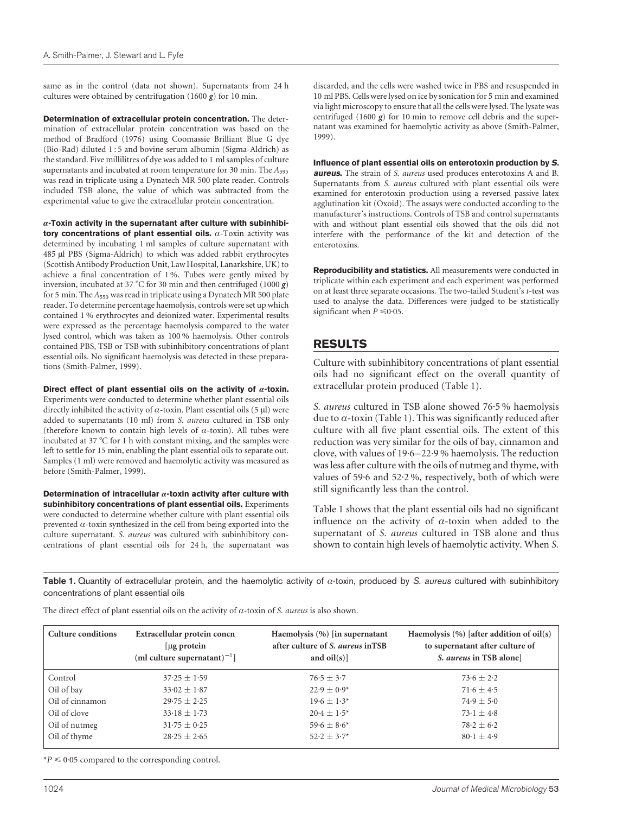<span id="page-1-0"></span>same as in the control (data not shown). Supernatants from 24 h cultures were obtained by centrifugation (1600 $g$ ) for 10 min.

Determination of extracellular protein concentration. The determination of extracellular protein concentration was based on the method of [Bradford \(1976\)](#page-3-0) using Coomassie Brilliant Blue G dye (Bio-Rad) diluted 1 : 5 and bovine serum albumin (Sigma-Aldrich) as the standard. Five millilitres of dye was added to 1 ml samples of culture supernatants and incubated at room temperature for 30 min. The  $A_{595}$ was read in triplicate using a Dynatech MR 500 plate reader. Controls included TSB alone, the value of which was subtracted from the experimental value to give the extracellular protein concentration.

 $\alpha$ -Toxin activity in the supernatant after culture with subinhibitory concentrations of plant essential oils.  $\alpha$ -Toxin activity was determined by incubating 1 ml samples of culture supernatant with 485 µl PBS (Sigma-Aldrich) to which was added rabbit erythrocytes (Scottish Antibody Production Unit, Law Hospital, Lanarkshire, UK) to achieve a final concentration of 1 %. Tubes were gently mixed by inversion, incubated at 37 °C for 30 min and then centrifuged (1000  $g$ ) for 5 min. The  $A_{550}$  was read in triplicate using a Dynatech MR 500 plate reader. To determine percentage haemolysis, controls were set up which contained 1 % erythrocytes and deionized water. Experimental results were expressed as the percentage haemolysis compared to the water lysed control, which was taken as 100 % haemolysis. Other controls contained PBS, TSB or TSB with subinhibitory concentrations of plant essential oils. No significant haemolysis was detected in these preparations [\(Smith-Palmer, 1](#page-3-0)999).

Direct effect of plant essential oils on the activity of  $\alpha$ -toxin. Experiments were conducted to determine whether plant essential oils directly inhibited the activity of  $\alpha$ -toxin. Plant essential oils (5 µl) were added to supernatants (10 ml) from S. aureus cultured in TSB only (therefore known to contain high levels of  $\alpha$ -toxin). All tubes were incubated at 37 °C for 1 h with constant mixing, and the samples were left to settle for 15 min, enabling the plant essential oils to separate out. Samples (1 ml) were removed and haemolytic activity was measured as before [\(Smith-Palmer, 1](#page-3-0)999).

Determination of intracellular  $\alpha$ -toxin activity after culture with subinhibitory concentrations of plant essential oils. Experiments were conducted to determine whether culture with plant essential oils prevented  $\alpha$ -toxin synthesized in the cell from being exported into the culture supernatant. S. aureus was cultured with subinhibitory concentrations of plant essential oils for 24 h, the supernatant was discarded, and the cells were washed twice in PBS and resuspended in 10 ml PBS. Cells were lysed on ice by sonication for 5 min and examined via light microscopy to ensure that all the cells were lysed. The lysate was centrifuged (1600  $g$ ) for 10 min to remove cell debris and the supernatant was examined for haemolytic activity as above [\(Smith-Palmer,](#page-3-0) 1999).

Influence of plant essential oils on enterotoxin production by S. **aureus.** The strain of S. aureus used produces enterotoxins A and B. Supernatants from S. aureus cultured with plant essential oils were examined for enterotoxin production using a reversed passive latex agglutination kit (Oxoid). The assays were conducted according to the manufacturer's instructions. Controls of TSB and control supernatants with and without plant essential oils showed that the oils did not interfere with the performance of the kit and detection of the enterotoxins.

Reproducibility and statistics. All measurements were conducted in triplicate within each experiment and each experiment was performed on at least three separate occasions. The two-tailed Student's t-test was used to analyse the data. Differences were judged to be statistically significant when  $P \le 0.05$ .

## RESULTS

Culture with subinhibitory concentrations of plant essential oils had no significant effect on the overall quantity of extracellular protein produced (Table 1).

S. aureus cultured in TSB alone showed 76. 5 % haemolysis due to  $\alpha$ -toxin (Table 1). This was significantly reduced after culture with all five plant essential oils. The extent of this reduction was very similar for the oils of bay, cinnamon and clove, with values of 19.6–22. 9 % haemolysis. The reduction was less after culture with the oils of nutmeg and thyme, with values of 59. 6 and 52. 2 %, respectively, both of which were still significantly less than the control.

Table 1 shows that the plant essential oils had no significant influence on the activity of  $\alpha$ -toxin when added to the supernatant of S. aureus cultured in TSB alone and thus shown to contain high levels of haemolytic activity. When S.

Table 1. Quantity of extracellular protein, and the haemolytic activity of  $\alpha$ -toxin, produced by S. aureus cultured with subinhibitory concentrations of plant essential oils

| <b>Culture conditions</b> | Extracellular protein concn<br>$\lceil \mu g \rceil$ protein<br>(ml culture supernatant) <sup>-1</sup> ] | Haemolysis $(\%)$ [in supernatant]<br>after culture of S. aureus in TSB<br>and $oil(s)$ | Haemolysis $(\%)$ [after addition of oil(s)<br>to supernatant after culture of<br>S. aureus in TSB alone] |
|---------------------------|----------------------------------------------------------------------------------------------------------|-----------------------------------------------------------------------------------------|-----------------------------------------------------------------------------------------------------------|
| Control                   | $37.25 \pm 1.59$                                                                                         | $76.5 + 3.7$                                                                            | $73.6 + 2.2$                                                                                              |
| Oil of bay                | $33.02 \pm 1.87$                                                                                         | $22.9 + 0.9*$                                                                           | $71.6 + 4.5$                                                                                              |
| Oil of cinnamon           | $29.75 + 2.25$                                                                                           | $19.6 \pm 1.3*$                                                                         | $74.9 + 5.0$                                                                                              |
| Oil of clove              | $33.18 \pm 1.73$                                                                                         | $20.4 + 1.5*$                                                                           | $73.1 + 4.8$                                                                                              |
| Oil of nutmeg             | $31.75 \pm 0.25$                                                                                         | $59.6 \pm 8.6^*$                                                                        | $78.2 \pm 6.2$                                                                                            |
| Oil of thyme              | $28.25 + 2.65$                                                                                           | $52.2 \pm 3.7^*$                                                                        | $80 \cdot 1 + 4 \cdot 9$                                                                                  |

The direct effect of plant essential oils on the activity of  $\alpha$ -toxin of S. aureus is also shown.

 $*P \leq 0.05$  compared to the corresponding control.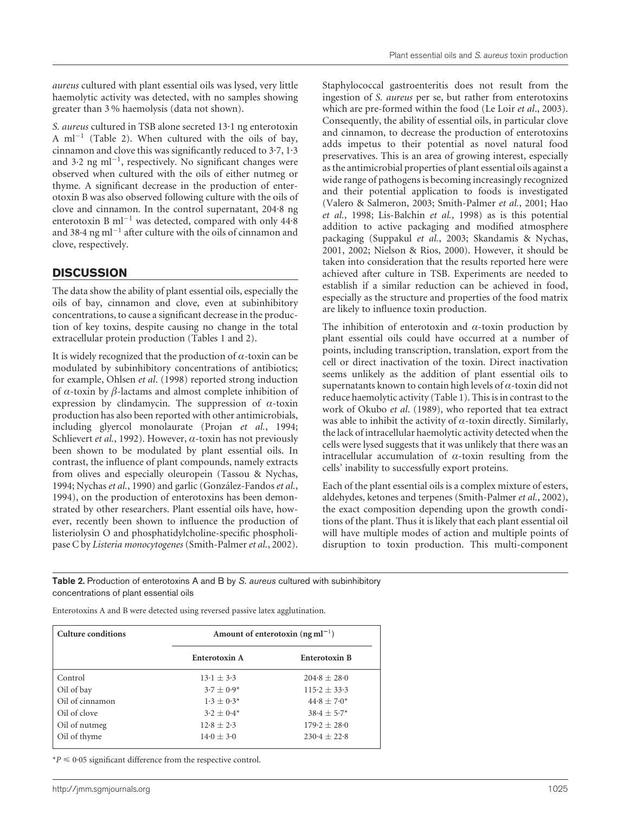aureus cultured with plant essential oils was lysed, very little haemolytic activity was detected, with no samples showing greater than 3 % haemolysis (data not shown).

S. aureus cultured in TSB alone secreted 13-1 ng enterotoxin A ml<sup>-1</sup> (Table 2). When cultured with the oils of bay, cinnamon and clove this was significantly reduced to 3. 7, 1. 3 and 3.2 ng ml<sup>-1</sup>, respectively. No significant changes were observed when cultured with the oils of either nutmeg or thyme. A significant decrease in the production of enterotoxin B was also observed following culture with the oils of clove and cinnamon. In the control supernatant, 204. 8 ng enterotoxin B ml<sup>-1</sup> was detected, compared with only  $44.8$ and 38 $\cdot$ 4 ng ml<sup>-1</sup> after culture with the oils of cinnamon and clove, respectively.

## **DISCUSSION**

The data show the ability of plant essential oils, especially the oils of bay, cinnamon and clove, even at subinhibitory concentrations, to cause a significant decrease in the production of key toxins, despite causing no change in the total extracellular protein production [\(Tables 1 and 2\).](#page-1-0)

It is widely recognized that the production of  $\alpha$ -toxin can be modulated by subinhibitory concentrations of antibiotics; for example[, Ohlsen](#page-3-0) et al. (1998) reported strong induction of  $\alpha$ -toxin by  $\beta$ -lactams and almost complete inhibition of expression by clindamycin. The suppression of  $\alpha$ -toxin production has also been reported with other antimicrobials, including glyercol monolaurate [\(Projan](#page-3-0) et al., 1994; [Schlievert](#page-3-0) et al., 1992). However,  $\alpha$ -toxin has not previously been shown to be modulated by plant essential oils. In contrast, the influence of plant compounds, namely extracts from olives and especially oleuropein [\(Tassou & Ny](#page-4-0)chas, 1994[; Nychas](#page-3-0) et al., 1990) and garlic (González-Fandos et al., 1994), on the production of enterotoxins has been demonstrated by other researchers. Plant essential oils have, however, recently been shown to influence the production of listeriolysin O and phosphatidylcholine-specific phospholipase C by Listeria monocytogenes [\(Smith-Palmer](#page-3-0) et al., 2002). Staphylococcal gastroenteritis does not result from the ingestion of S. aureus per se, but rather from enterotoxins which are pre-formed within the food [\(Le Loir](#page-3-0) et al., 2003). Consequently, the ability of essential oils, in particular clove and cinnamon, to decrease the production of enterotoxins adds impetus to their potential as novel natural food preservatives. This is an area of growing interest, especially as the antimicrobial properties of plant essential oils against a wide range of pathogens is becoming increasingly recognized and their potential application to foods is investigated [\(Valero & Salm](#page-4-0)eron, 2003[; Smith-Palmer](#page-3-0) et al., 2001; [Hao](#page-3-0) et al., 1998; [Lis-Balchin](#page-3-0) et al., 1998) as is this potential addition to active packaging and modified atmosphere packaging [\(Suppakul](#page-3-0) et al., 2003; [Skandamis &](#page-3-0) Nychas, 2001, 2002; [Nielson & Ri](#page-3-0)os, 2000). However, it should be taken into consideration that the results reported here were achieved after culture in TSB. Experiments are needed to establish if a similar reduction can be achieved in food, especially as the structure and properties of the food matrix are likely to influence toxin production.

The inhibition of enterotoxin and  $\alpha$ -toxin production by plant essential oils could have occurred at a number of points, including transcription, translation, export from the cell or direct inactivation of the toxin. Direct inactivation seems unlikely as the addition of plant essential oils to supernatants known to contain high levels of  $\alpha$ -toxin did not reduce haemolytic activity [\(Table 1\). T](#page-1-0)his is in contrast to the work of [Okubo](#page-3-0) et al. (1989), who reported that tea extract was able to inhibit the activity of  $\alpha$ -toxin directly. Similarly, the lack of intracellular haemolytic activity detected when the cells were lysed suggests that it was unlikely that there was an intracellular accumulation of  $\alpha$ -toxin resulting from the cells' inability to successfully export proteins.

Each of the plant essential oils is a complex mixture of esters, aldehydes, ketones and terpenes [\(Smith-Palmer](#page-3-0) et al., 2002), the exact composition depending upon the growth conditions of the plant. Thus it is likely that each plant essential oil will have multiple modes of action and multiple points of disruption to toxin production. This multi-component

Table 2. Production of enterotoxins A and B by S. aureus cultured with subinhibitory concentrations of plant essential oils

| Culture conditions | Amount of enterotoxin $(ng ml^{-1})$ |                |
|--------------------|--------------------------------------|----------------|
|                    | Enterotoxin A                        | Enterotoxin B  |
| Control            | $13.1 \pm 3.3$                       | $204.8 + 28.0$ |
| Oil of bay         | $3.7 \pm 0.9*$                       | $115.2 + 33.3$ |
| Oil of cinnamon    | $1.3 + 0.3*$                         | $44.8 + 7.0*$  |
| Oil of clove       | $3.2 + 0.4*$                         | $38.4 + 5.7*$  |
| Oil of nutmeg      | $12.8 + 2.3$                         | $179.2 + 28.0$ |
| Oil of thyme       | $14.0 + 3.0$                         | $230.4 + 22.8$ |

Enterotoxins A and B were detected using reversed passive latex agglutination.

 $*P \leq 0.05$  significant difference from the respective control.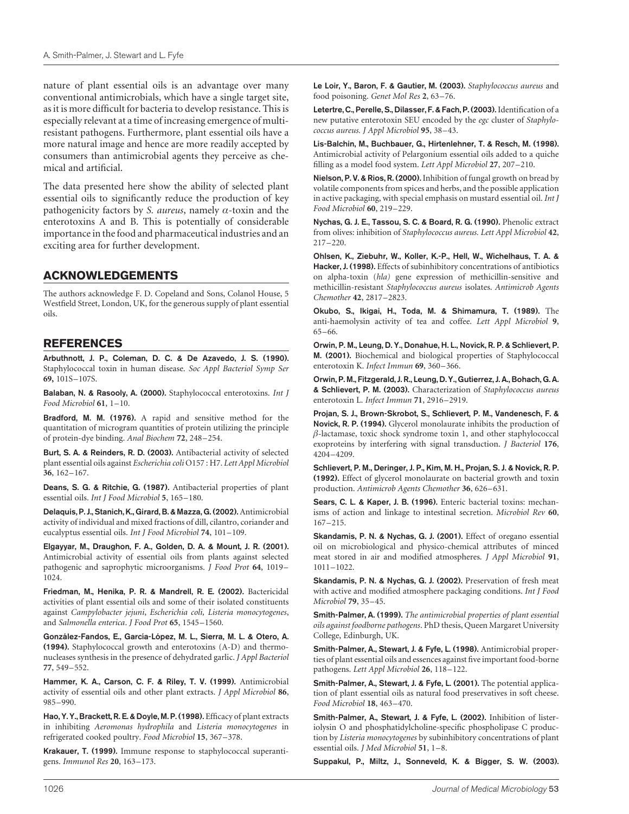<span id="page-3-0"></span>nature of plant essential oils is an advantage over many conventional antimicrobials, which have a single target site, as it is more difficult for bacteria to develop resistance. This is especially relevant at a time of increasing emergence of multiresistant pathogens. Furthermore, plant essential oils have a more natural image and hence are more readily accepted by consumers than antimicrobial agents they perceive as chemical and artificial.

The data presented here show the ability of selected plant essential oils to significantly reduce the production of key pathogenicity factors by S. aureus, namely  $\alpha$ -toxin and the enterotoxins A and B. This is potentially of considerable importance in the food and pharmaceutical industries and an exciting area for further development.

# ACKNOWLEDGEMENTS

The authors acknowledge F. D. Copeland and Sons, Colanol House, 5 Westfield Street, London, UK, for the generous supply of plant essential oils.

## REFERENCES

Arbuthnott, J. P., Coleman, D. C. & De Azavedo, J. S. (1990). Staphylococcal toxin in human disease. Soc Appl Bacteriol Symp Ser 69, 101S–107S.

Balaban, N. & Rasooly, A. (2000). Staphylococcal enterotoxins. Int J Food Microbiol 61, 1–10.

Bradford, M. M. (1976). A rapid and sensitive method for the quantitation of microgram quantities of protein utilizing the principle of protein-dye binding. Anal Biochem 72, 248–254.

Burt, S. A. & Reinders, R. D. (2003). Antibacterial activity of selected plant essential oils against Escherichia coli O157 : H7. Lett Appl Microbiol 36, 162–167.

Deans, S. G. & Ritchie, G. (1987). Antibacterial properties of plant essential oils. Int J Food Microbiol 5, 165–180.

Delaquis, P. J., Stanich, K., Girard, B. & Mazza, G. (2002). Antimicrobial activity of individual and mixed fractions of dill, cilantro, coriander and eucalyptus essential oils. Int J Food Microbiol 74, 101–109.

Elgayyar, M., Draughon, F. A., Golden, D. A. & Mount, J. R. (2001). Antimicrobial activity of essential oils from plants against selected pathogenic and saprophytic microorganisms. J Food Prot 64, 1019– 1024.

Friedman, M., Henika, P. R. & Mandrell, R. E. (2002). Bactericidal activities of plant essential oils and some of their isolated constituents against Campylobacter jejuni, Escherichia coli, Listeria monocytogenes, and Salmonella enterica. J Food Prot 65, 1545–1560.

González-Fandos, E., García-López, M. L., Sierra, M. L. & Otero, A. (1994). Staphylococcal growth and enterotoxins (A-D) and thermonucleases synthesis in the presence of dehydrated garlic. J Appl Bacteriol 77, 549–552.

Hammer, K. A., Carson, C. F. & Riley, T. V. (1999). Antimicrobial activity of essential oils and other plant extracts. J Appl Microbiol 86, 985–990.

Hao, Y. Y., Brackett, R. E. & Doyle, M. P. (1998). Efficacy of plant extracts in inhibiting Aeromonas hydrophila and Listeria monocytogenes in refrigerated cooked poultry. Food Microbiol 15, 367–378.

Krakauer, T. (1999). Immune response to staphylococcal superantigens. Immunol Res 20, 163–173.

Le Loir, Y., Baron, F. & Gautier, M. (2003). Staphylococcus aureus and food poisoning. Genet Mol Res 2, 63–76.

Letertre, C., Perelle, S., Dilasser, F. & Fach, P. (2003). Identification of a new putative enterotoxin SEU encoded by the egc cluster of Staphylococcus aureus. J Appl Microbiol 95, 38–43.

Lis-Balchin, M., Buchbauer, G., Hirtenlehner, T. & Resch, M. (1998). Antimicrobial activity of Pelargonium essential oils added to a quiche filling as a model food system. Lett Appl Microbiol 27, 207–210.

Nielson, P. V. & Rios, R. (2000). Inhibition of fungal growth on bread by volatile components from spices and herbs, and the possible application in active packaging, with special emphasis on mustard essential oil. Int J Food Microbiol 60, 219–229.

Nychas, G. J. E., Tassou, S. C. & Board, R. G. (1990). Phenolic extract from olives: inhibition of Staphylococcus aureus. Lett Appl Microbiol 42, 217–220.

Ohlsen, K., Ziebuhr, W., Koller, K.-P., Hell, W., Wichelhaus, T. A. & Hacker, J. (1998). Effects of subinhibitory concentrations of antibiotics on alpha-toxin (hla) gene expression of methicillin-sensitive and methicillin-resistant Staphylococcus aureus isolates. Antimicrob Agents Chemother 42, 2817–2823.

Okubo, S., Ikigai, H., Toda, M. & Shimamura, T. (1989). The anti-haemolysin activity of tea and coffee. Lett Appl Microbiol 9, 65–66.

Orwin, P. M., Leung, D. Y., Donahue, H. L., Novick, R. P. & Schlievert, P. M. (2001). Biochemical and biological properties of Staphylococcal enterotoxin K. Infect Immun 69, 360–366.

Orwin, P. M., Fitzgerald, J. R., Leung, D. Y., Gutierrez, J. A., Bohach, G. A. & Schlievert, P. M. (2003). Characterization of Staphylococcus aureus enterotoxin L. Infect Immun 71, 2916–2919.

Projan, S. J., Brown-Skrobot, S., Schlievert, P. M., Vandenesch, F. & Novick, R. P. (1994). Glycerol monolaurate inhibits the production of  $\beta$ -lactamase, toxic shock syndrome toxin 1, and other staphylococcal exoproteins by interfering with signal transduction. J Bacteriol 176, 4204–4209.

Schlievert, P. M., Deringer, J. P., Kim, M. H., Projan, S. J. & Novick, R. P. (1992). Effect of glycerol monolaurate on bacterial growth and toxin production. Antimicrob Agents Chemother 36, 626–631.

Sears, C. L. & Kaper, J. B. (1996). Enteric bacterial toxins: mechanisms of action and linkage to intestinal secretion. Microbiol Rev 60, 167–215.

Skandamis, P. N. & Nychas, G. J. (2001). Effect of oregano essential oil on microbiological and physico-chemical attributes of minced meat stored in air and modified atmospheres. J Appl Microbiol 91, 1011–1022.

Skandamis, P. N. & Nychas, G. J. (2002). Preservation of fresh meat with active and modified atmosphere packaging conditions. Int J Food Microbiol 79, 35–45.

Smith-Palmer, A. (1999). The antimicrobial properties of plant essential oils against foodborne pathogens. PhD thesis, Queen Margaret University College, Edinburgh, UK.

Smith-Palmer, A., Stewart, J. & Fyfe, L. (1998). Antimicrobial properties of plant essential oils and essences against five important food-borne pathogens. Lett Appl Microbiol 26, 118–122.

Smith-Palmer, A., Stewart, J. & Fyfe, L. (2001). The potential application of plant essential oils as natural food preservatives in soft cheese. Food Microbiol 18, 463–470.

Smith-Palmer, A., Stewart, J. & Fyfe, L. (2002). Inhibition of listeriolysin O and phosphatidylcholine-specific phospholipase C production by Listeria monocytogenes by subinhibitory concentrations of plant essential oils. J Med Microbiol 51, 1–8.

Suppakul, P., Miltz, J., Sonneveld, K. & Bigger, S. W. (2003).